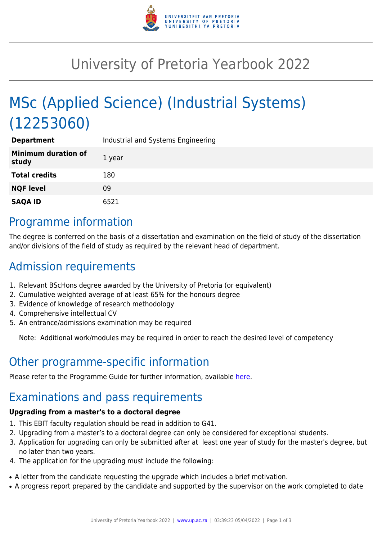

## University of Pretoria Yearbook 2022

# MSc (Applied Science) (Industrial Systems) (12253060)

| <b>Department</b>                   | Industrial and Systems Engineering |
|-------------------------------------|------------------------------------|
| <b>Minimum duration of</b><br>study | 1 year                             |
| <b>Total credits</b>                | 180                                |
| <b>NQF level</b>                    | 09                                 |
| <b>SAQA ID</b>                      | 6521                               |

#### Programme information

The degree is conferred on the basis of a dissertation and examination on the field of study of the dissertation and/or divisions of the field of study as required by the relevant head of department.

## Admission requirements

- 1. Relevant BScHons degree awarded by the University of Pretoria (or equivalent)
- 2. Cumulative weighted average of at least 65% for the honours degree
- 3. Evidence of knowledge of research methodology
- 4. Comprehensive intellectual CV
- 5. An entrance/admissions examination may be required

Note: Additional work/modules may be required in order to reach the desired level of competency

### Other programme-specific information

Please refer to the Programme Guide for further information, available [here.](https://www.up.ac.za/media/shared/101/ZP_Files/Postgraduate%20Programmes/2020/postgraduate-guide_2020_print.zp179840.pdf)

### Examinations and pass requirements

#### **Upgrading from a master's to a doctoral degree**

- 1. This EBIT faculty regulation should be read in addition to G41.
- 2. Upgrading from a master's to a doctoral degree can only be considered for exceptional students.
- 3. Application for upgrading can only be submitted after at least one year of study for the master's degree, but no later than two years.
- 4. The application for the upgrading must include the following:
- A letter from the candidate requesting the upgrade which includes a brief motivation.
- A progress report prepared by the candidate and supported by the supervisor on the work completed to date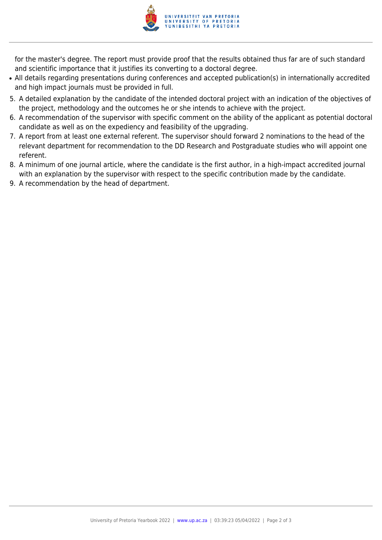

for the master's degree. The report must provide proof that the results obtained thus far are of such standard and scientific importance that it justifies its converting to a doctoral degree.

- All details regarding presentations during conferences and accepted publication(s) in internationally accredited and high impact journals must be provided in full.
- 5. A detailed explanation by the candidate of the intended doctoral project with an indication of the objectives of the project, methodology and the outcomes he or she intends to achieve with the project.
- 6. A recommendation of the supervisor with specific comment on the ability of the applicant as potential doctoral candidate as well as on the expediency and feasibility of the upgrading.
- 7. A report from at least one external referent. The supervisor should forward 2 nominations to the head of the relevant department for recommendation to the DD Research and Postgraduate studies who will appoint one referent.
- 8. A minimum of one journal article, where the candidate is the first author, in a high-impact accredited journal with an explanation by the supervisor with respect to the specific contribution made by the candidate.
- 9. A recommendation by the head of department.